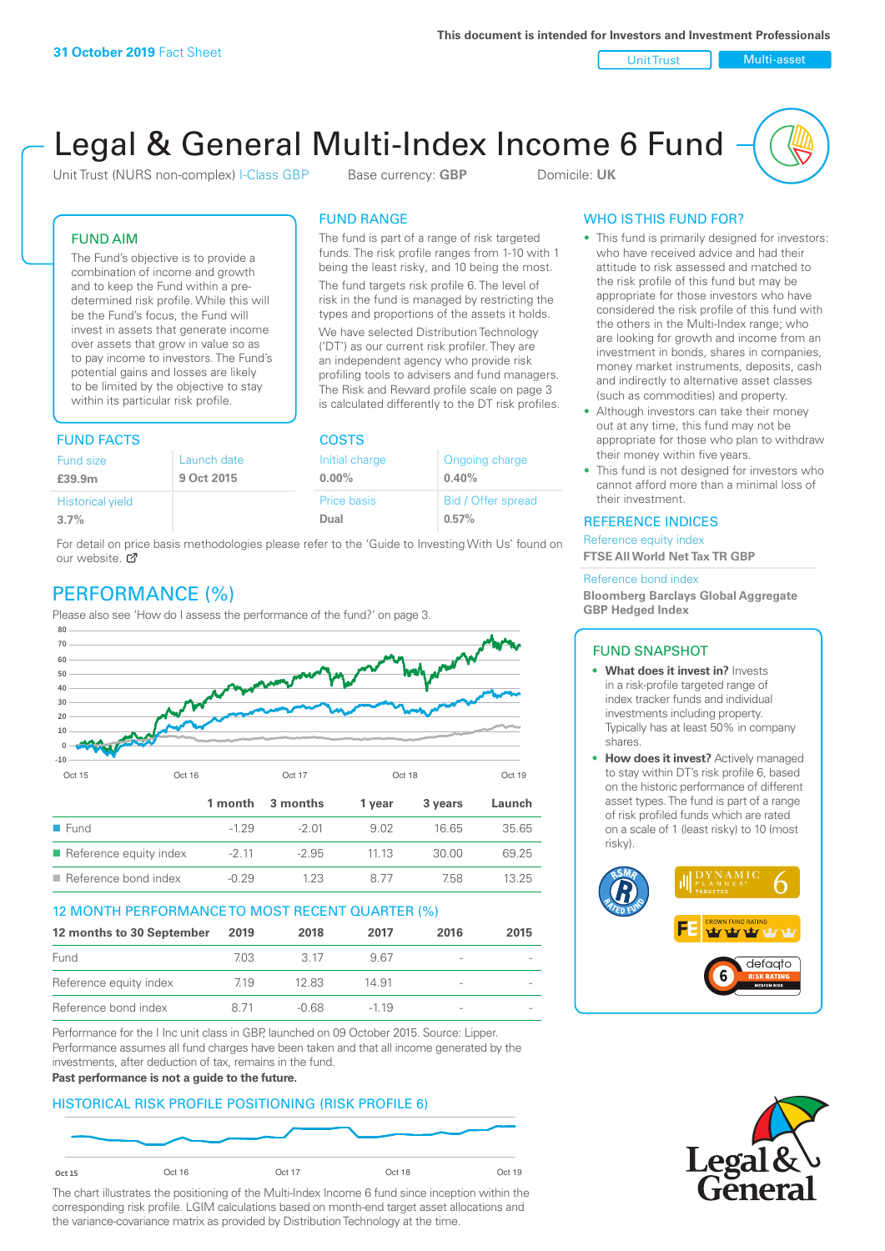Unit Trust Nulti-asset

# Legal & General Multi-Index Income 6 Fund

Unit Trust (NURS non-complex) I-Class GBP Base currency: **GBP** Domicile: UK

The fund is part of a range of risk targeted funds. The risk profile ranges from 1-10 with 1 being the least risky, and 10 being the most. The fund targets risk profile 6. The level of risk in the fund is managed by restricting the types and proportions of the assets it holds. We have selected Distribution Technology ('DT') as our current risk profiler. They are an independent agency who provide risk profiling tools to advisers and fund managers. The Risk and Reward profile scale on page 3 is calculated differently to the DT risk profiles.

FUND RANGE

FUND AIM

The Fund's objective is to provide a combination of income and growth and to keep the Fund within a predetermined risk profile. While this will be the Fund's focus, the Fund will invest in assets that generate income over assets that grow in value so as to pay income to investors. The Fund's potential gains and losses are likely to be limited by the objective to stay within its particular risk profile.

### FUND FACTS COSTS

| Launch date | Initial charge | Ongoing charge     |  |  |  |
|-------------|----------------|--------------------|--|--|--|
| 9 Oct 2015  | $0.00\%$       | 0.40%              |  |  |  |
|             | Price basis    | Bid / Offer spread |  |  |  |
|             | Dual           | 0.57%              |  |  |  |
|             |                |                    |  |  |  |

For detail on price basis methodologies please refer to the 'Guide to Investing With Us' found on our website. Ø

# PERFORMANCE (%)

Please also see 'How do I assess the performance of the fund?' on page 3.



### 12 MONTH PERFORMANCE TO MOST RECENT QUARTER (%)

| 12 months to 30 September | 2019 | 2018  | 2017   | 2016                     | 2015 |
|---------------------------|------|-------|--------|--------------------------|------|
| Fund                      | 703. | -3.17 | 967    |                          |      |
| Reference equity index    | 7.19 | 12.83 | 14.91  |                          |      |
| Reference bond index      | 8.71 | -0.68 | $-119$ | $\overline{\phantom{a}}$ |      |

Performance for the I Inc unit class in GBP, launched on 09 October 2015. Source: Lipper. Performance assumes all fund charges have been taken and that all income generated by the investments, after deduction of tax, remains in the fund.

### **Past performance is not a guide to the future.**

### HISTORICAL RISK PROFILE POSITIONING (RISK PROFILE 6)



The chart illustrates the positioning of the Multi-Index Income 6 fund since inception within the corresponding risk profile. LGIM calculations based on month-end target asset allocations and the variance-covariance matrix as provided by Distribution Technology at the time.

### WHO IS THIS FUND FOR?

- This fund is primarily designed for investors: who have received advice and had their attitude to risk assessed and matched to the risk profile of this fund but may be appropriate for those investors who have considered the risk profile of this fund with the others in the Multi-Index range; who are looking for growth and income from an investment in bonds, shares in companies, money market instruments, deposits, cash and indirectly to alternative asset classes (such as commodities) and property.
- Although investors can take their money out at any time, this fund may not be appropriate for those who plan to withdraw their money within five years.
- This fund is not designed for investors who cannot afford more than a minimal loss of their investment.

### REFERENCE INDICES

Reference equity index **FTSE All World Net Tax TR GBP**

#### Reference bond index

**Bloomberg Barclays Global Aggregate GBP Hedged Index**

### FUND SNAPSHOT

- **• What does it invest in?** Invests in a risk-profile targeted range of index tracker funds and individual investments including property. Typically has at least 50% in company shares.
- **• How does it invest?** Actively managed to stay within DT's risk profile 6, based on the historic performance of different asset types. The fund is part of a range of risk profiled funds which are rated on a scale of 1 (least risky) to 10 (most risky).



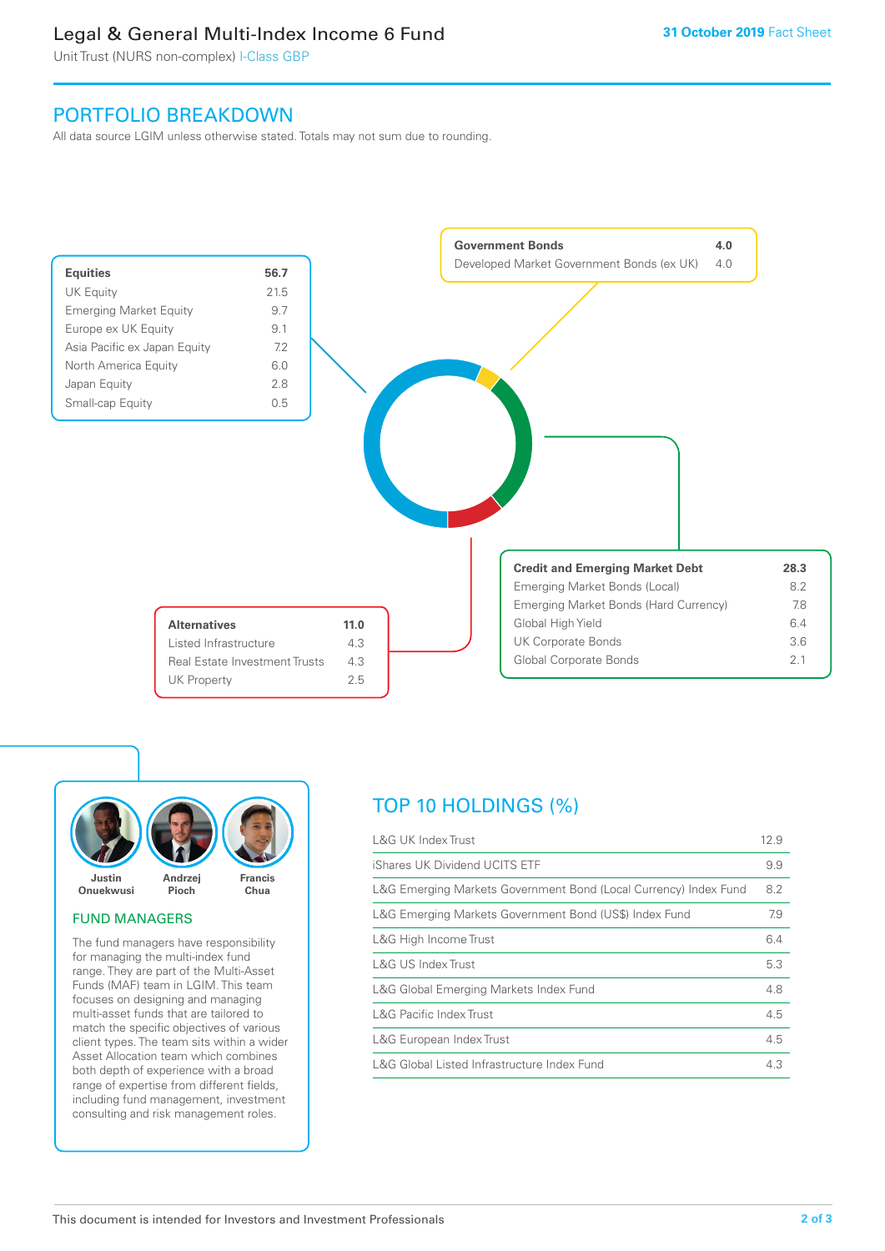### Legal & General Multi-Index Income 6 Fund

Unit Trust (NURS non-complex) I-Class GBP

### PORTFOLIO BREAKDOWN

All data source LGIM unless otherwise stated. Totals may not sum due to rounding.





### FUND MANAGERS

The fund managers have responsibility for managing the multi-index fund range. They are part of the Multi-Asset Funds (MAF) team in LGIM. This team focuses on designing and managing multi-asset funds that are tailored to match the specific objectives of various client types. The team sits within a wider Asset Allocation team which combines both depth of experience with a broad range of expertise from different fields, including fund management, investment consulting and risk management roles.

# TOP 10 HOLDINGS (%)

| <b>L&amp;G UK Index Trust</b>                                    | 12.9 |
|------------------------------------------------------------------|------|
| iShares UK Dividend UCITS ETF                                    | 9.9  |
| L&G Emerging Markets Government Bond (Local Currency) Index Fund | 8.2  |
| L&G Emerging Markets Government Bond (US\$) Index Fund           | 7.9  |
| L&G High Income Trust                                            | 6.4  |
| L&G US Index Trust                                               | 5.3  |
| L&G Global Emerging Markets Index Fund                           | 4.8  |
| <b>L&amp;G Pacific Index Trust</b>                               | 4.5  |
| L&G European Index Trust                                         | 4.5  |
| L&G Global Listed Infrastructure Index Fund                      | 4.3  |